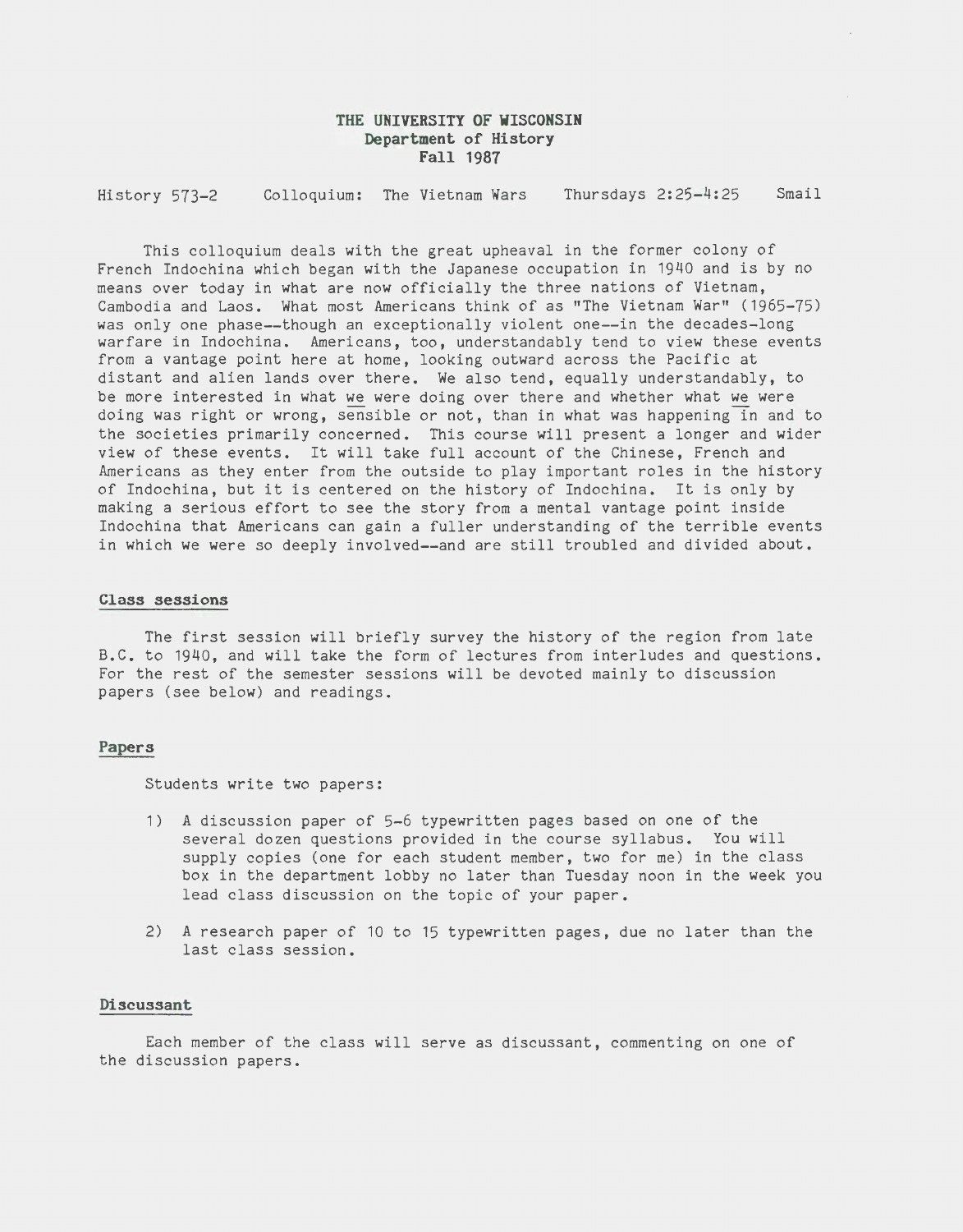# **THE UNIVERSITY OF WISCONSIN Department of History Fall 1987**

History 573-2 Colloquium: The Vietnam Wars Thursdays 2:25-4:25 Smail

This colloquium deals with the great upheaval in the former colony of French Indochina which began with the Japanese occupation in 1940 and is by no means over today in what are now officially the three nations of Vietnam, Cambodia and Laos. What most Americans think of as "The Vietnam War" (1965-75) was only one phase--though an exceptionally violent one--in the decades-long warfare in Indochina. Americans, too, understandably tend to view these events from a vantage point here at home, looking outward across the Pacific at distant and alien lands over there. We also tend, equally understandably, to be more interested in what we were doing over there and whether what we were doing was right or wrong, sensible or not, than in what was happening in and to the societies primarily concerned. This course will present a longer and wider view of these events. It will take full account of the Chinese, French and Americans as they enter from the outside to play important roles in the history of Indochina, but it is centered on the history of Indochina. It is only by making a serious effort to see the story from a mental vantage point inside Indochina that Americans can gain a fuller understanding of the terrible events in which we were so deeply involved--and are still troubled and divided about.

#### **Class sessions**

The first session will briefly survey the history of the region from late B.C. to 1940, and will take the form of lectures from interludes and questions. For the rest of the semester sessions will be devoted mainly to discussion papers (see below) and readings.

#### **Papers**

Students write two papers:

- 1) A discussion paper of 5-6 typewritten pages based on one of the several dozen questions provided in the course syllabus. You will supply copies (one for each student member, two for me) in the class box in the department lobby no later than Tuesday noon in the week you lead class discussion on the topic of your paper.
- 2) A research paper of 10 to 15 typewritten pages, due no later than the last class session.

#### **Discussant**

Each member of the class will serve as discussant, commenting on one of the discussion papers.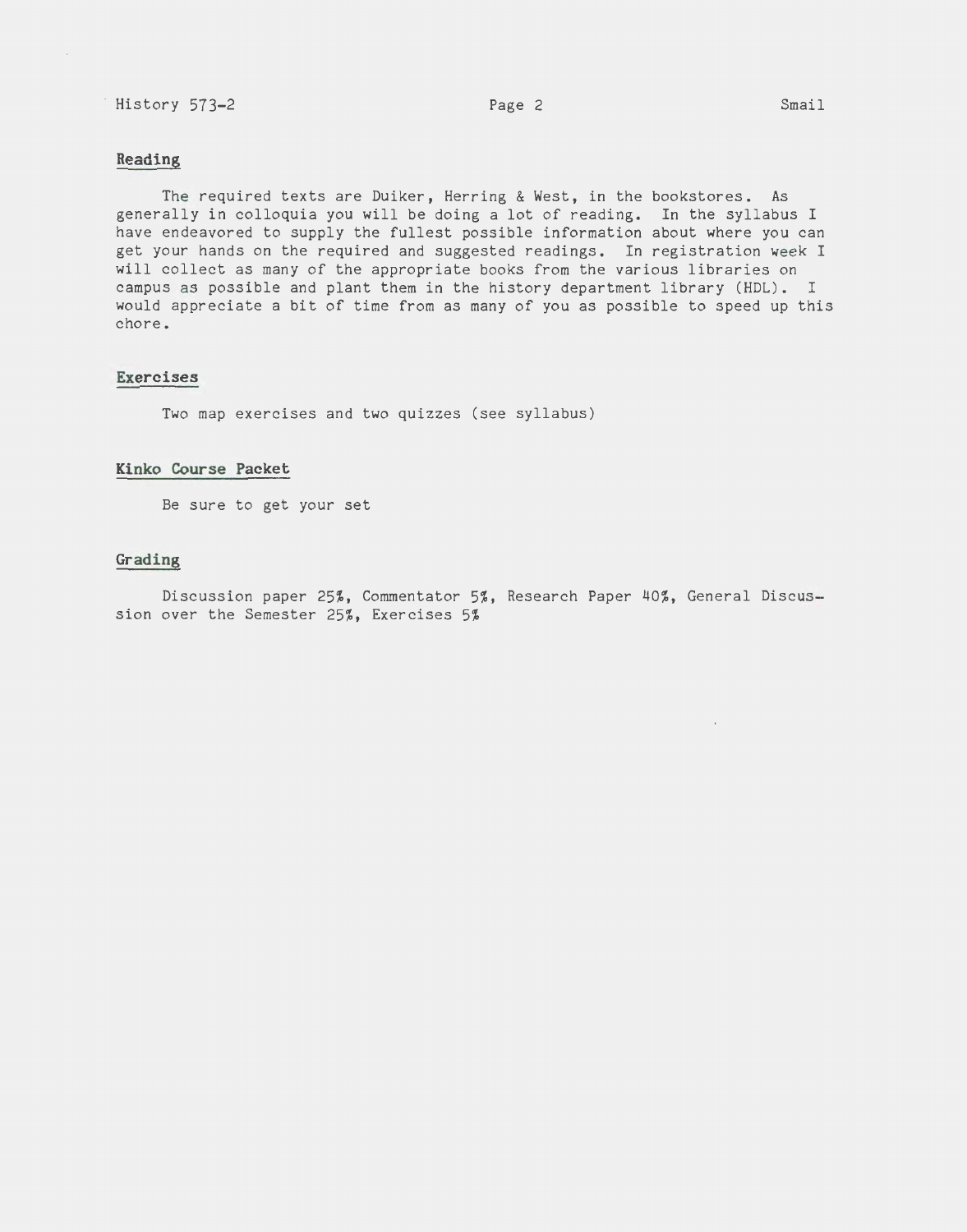# History 573-2 Smail Page 2 Smail

## **Reading**

 $\mathcal{L}^{\mathcal{L}}$ 

The required texts are Duiker, Herring & West, in the bookstores. As generally in colloquia you will be doing a lot of reading. In the syllabus I have endeavored to supply the fullest possible information about where you can get your hands on the required and suggested readings. In registration week I will collect as many of the appropriate books from the various libraries on campus as possible and plant them in the history department library (HDL). I would appreciate a bit of time from as many of you as possible to speed up this chore.

## **Exercises**

Two map exercises and two quizzes (see syllabus)

## **Kinko Course Packet**

Be sure to get your set

## **Grading**

Discussion paper 25%, Commentator 5%, Research Paper 40%, General Discussion over the Semester 25%, Exercises 5%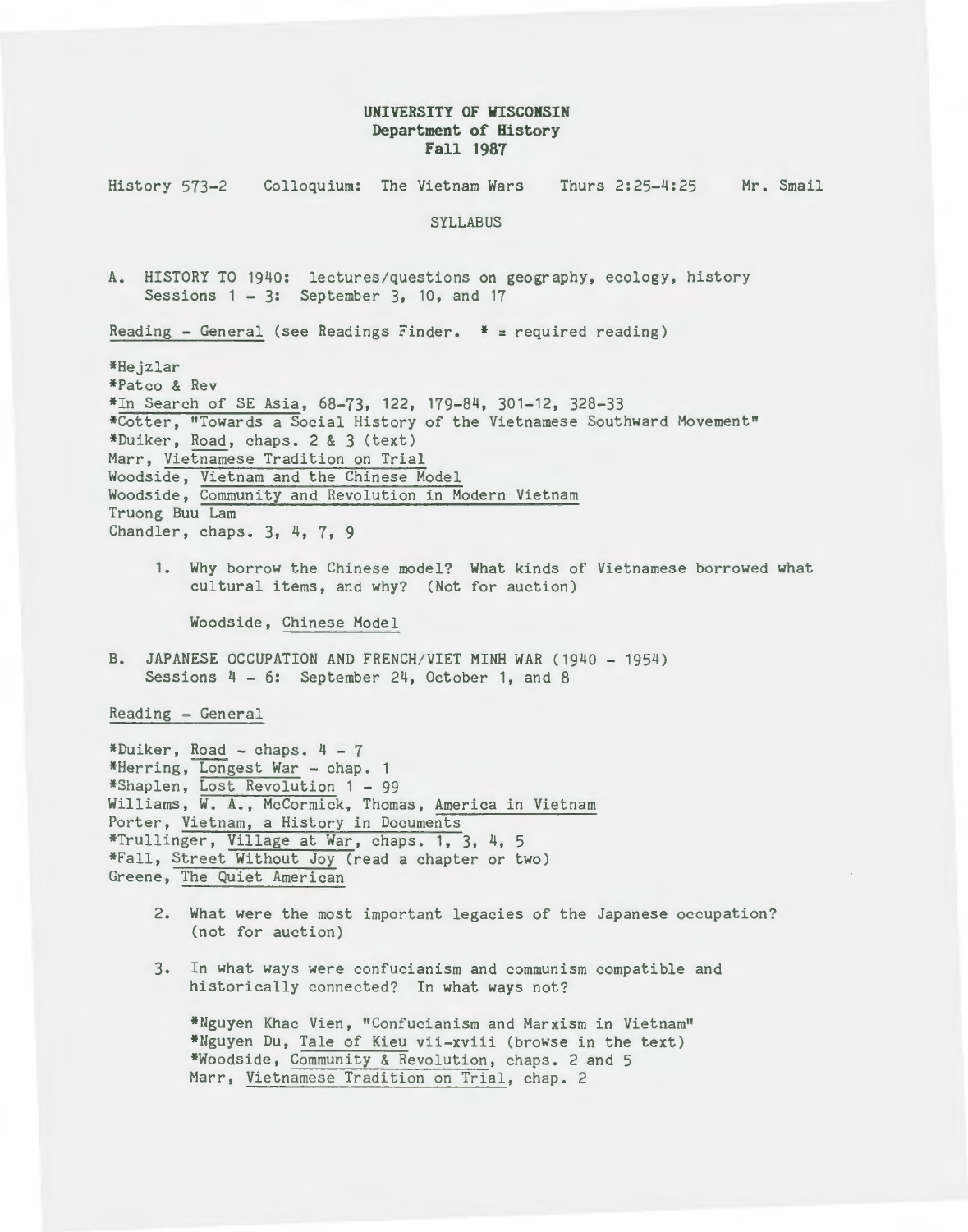# **UNIVERSITY OF WISCONSIN Department of History Fall 1987**

History 573-2 Colloquium: The Vietnam Wars Thurs 2:25-4:25 Mr. Smail SYLLABUS A. HISTORY TO 1940: lectures/questions on geography, ecology, history Sessions 1 - 3: September 3, 10, and 17 Reading - General (see Readings Finder.  $*$  = required reading) \*Hejzlar \*Patco & Rev \*In Search of SE Asia, 68-73, 122, 179-84, 301-12, 328-33 \*Cotter, "Towards a Social History of the Vietnamese Southward Movement" \*Duiker, Road, chaps. 2 & 3 (text) Marr, Vietnamese Tradition on Trial Woodside, Vietnam and the Chinese Model Woodside, Community and Revolution in Modern Vietnam Truong Buu Lam Chandler, chaps. 3, 4, 7, 9 1. Why borrow the Chinese model? What kinds of Vietnamese borrowed what cultural items, and why? (Not for auction) Woodside, Chinese Model B. JAPANESE OCCUPATION AND FRENCH/VIET MINH WAR (1940- 1954) Sessions 4 - 6: September 24, October 1, and 8 Reading - General \*Duiker, Road - chaps.  $4 - 7$ \*Herring, Longest War - chap. 1 \*Shaplen, Lost Revolution 1 - 99 Williams, W. A., McCormick, Thomas, America in Vietnam Porter, Vietnam, a History in Documents \*Trullinger, Village at War, chaps. 1, 3, 4, 5 \*Fall, Street Without Joy (read a chapter or two) Greene, The Quiet American 2. What were the most important legacies of the Japanese occupation? (not for auction) 3. In what ways were confucianism and communism compatible and

historically connected? In what ways not? \*Nguyen Khac Vien, "Confucianism and Marxism in Vietnam" \*Nguyen Du, Tale of Kieu vii-xviii (browse in the text) \*Woodside, Community & Revolution, chaps. 2 and 5

Marr, Vietnamese Tradition on Trial, chap. 2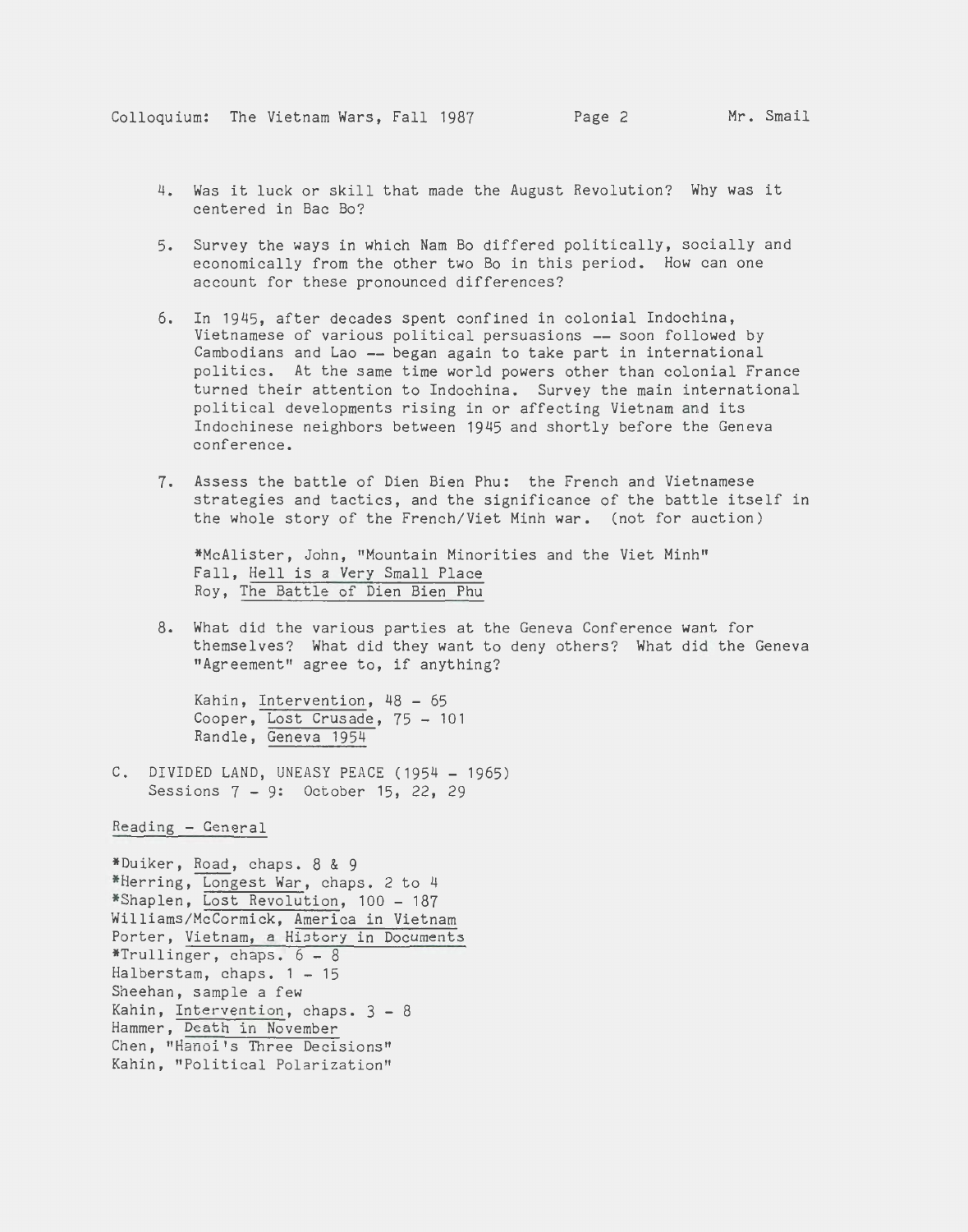- 4. Was it luck or skill that made the August Revolution? Why was it centered in Bac Bo?
- 5. Survey the ways in which Nam Bo differed politically, socially and economically from the other two Bo in this period. How can one account for these pronounced differences?
- 6. In 1945, after decades spent confined in colonial Indochina, Vietnamese of various political persuasions -- soon followed by Cambodians and Lao -- began again to take part in international politics. At the same time world powers other than colonial France turned their attention to Indochina. Survey the main international political developments rising in or affecting Vietnam and its Indochinese neighbors between 1945 and shortly before the Geneva conference.
- *1.* Assess the battle of Dien Bien Phu: the French and Vietnamese strategies and tactics, and the significance of the battle itself in the whole story of the French/Viet Minh war. (not for auction)

\*McAlister, John, "Mountain Minorities and the Viet Minh" Fall, Hell is a Very Small Place Roy, The Battle of Dien Bien Phu

8. What did the various parties at the Geneva Conference want for themselves? What did they want to deny others? What did the Geneva "Agreement" agree to, if anything?

Kahin, Intervention, 48 - 65 Cooper, Lost Crusade, 75 - 101 Randle, Geneva 1954

C. DIVIDED LAND, UNEASY PEACE (1954- 1965) Sessions 7 - 9: October 15, 22, 29

Reading - General

\*Duiker, Road, chaps. 8 & 9 \*Herring, Longest War, chaps. 2 to 4 \*Shaplen, Lost Revolution, 100 - 187 Williams/McCormick, America in Vietnam Porter, Vietnam, a History in Documents \*Trullinger, chaps.  $6 - 8$ Halberstam, chaps.  $1 - 15$ Sheehan, sample a few Kahin, Intervention, chaps. 3 - 8 Hammer, Death in November Chen, "Hanoi's Three Decisions" Kahin, "Political Polarization"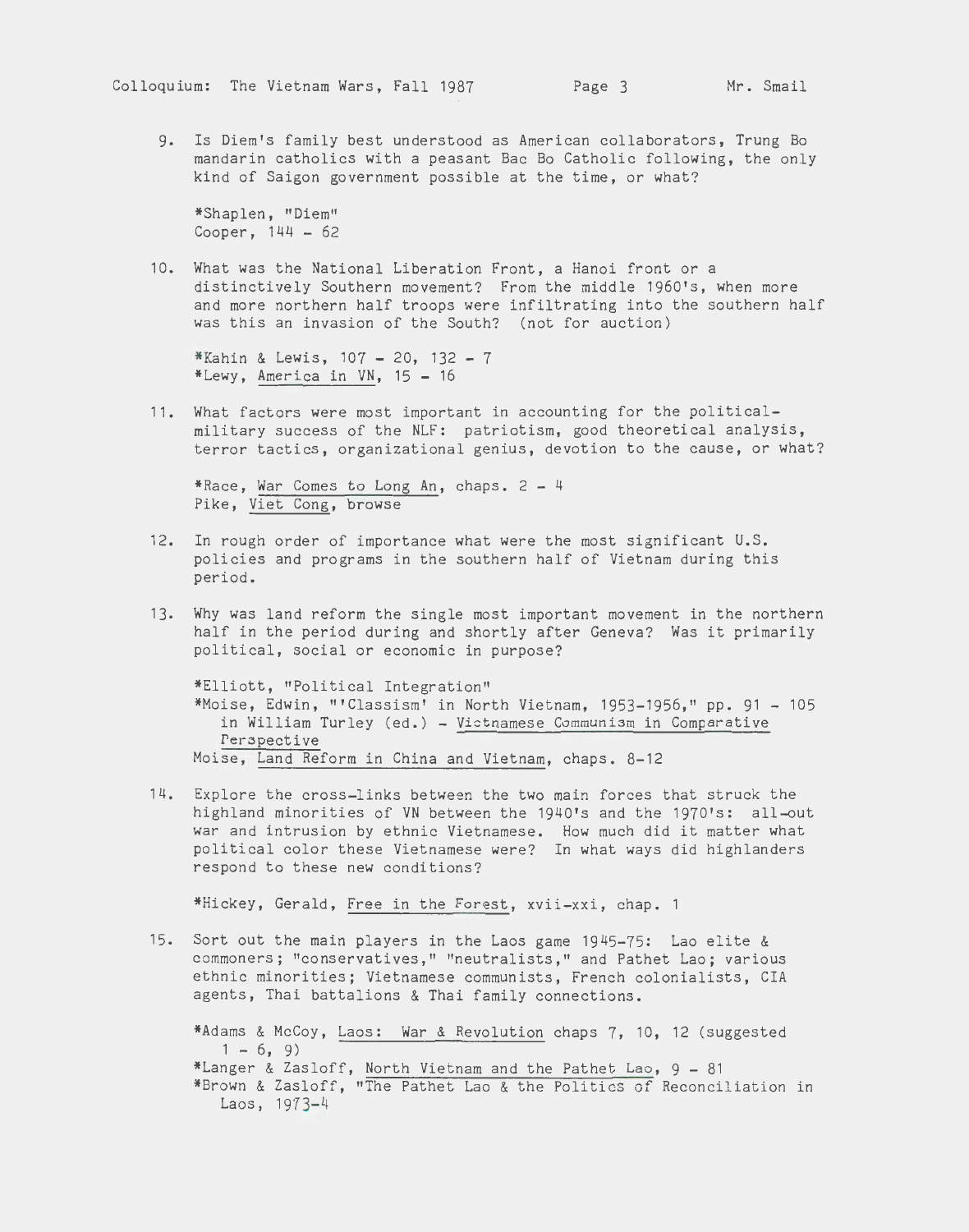g. Is Diem's family best understood as American collaborators, Trung Bo mandarin catholics with a peasant Bac Bo Catholic following, the only kind of Saigon government possible at the time, or what?

\*Shaplen, "Diem" Cooper,  $144 - 62$ 

10. What was the National Liberation Front, a Hanoi front or a distinctively Southern movement? From the middle 1960's, when more and more northern half troops were infiltrating into the southern half was this an invasion of the South? (not for auction)

 $*$ Kahin & Lewis, 107 - 20, 132 - 7 \*Lewy, America in VN,  $15 - 16$ 

11. What factors were most important in accounting for the politicalmilitary success of the NLF: patriotism, good theoretical analysis, terror tactics, organizational genius, devotion to the cause, or what?

\*Race, War Comes to Long An, chaps. 2 - 4 Pike, Viet Cong, browse

- 12. In rough order of importance what were the most significant U.S. policies and programs in the southern half of Vietnam during this period.
- 13. Why was land reform the single most important movement in the northern half in the period during and shortly after Geneva? Was it primarily political, social or economic in purpose?

\*Elliott, "Political Integration" \*Moise, Edwin, "'Classism' in North Vietnam, 1953-1956," pp. 91 - 105 in William Turley (ed.) - Vietnamese Communism in Comparative Perspective Moise, Land Reform in China and Vietnam, chaps. 8-12

14. Explore the cross-links between the two main forces that struck the highland minorities of VN between the 1940's and the 1970's: all-out war and intrusion by ethnic Vietnamese. How much did it matter what political color these Vietnamese were? In what ways did highlanders respond to these new conditions?

\*Hickey, Gerald, Free in the Forest, xvii-xxi, chap.

15. Sort out the main players in the Laos game 1945-75: Lao elite & commoners; "conservatives," "neutralists," and Pathet Lao; various ethnic minorities; Vietnamese communists, French colonialists, CIA agents, Thai battalions & Thai family connections.

\*Adams & McCoy, Laos: War & Revolution chaps 7, 10, 12 (suggested  $1 - 6, 9$ \*Langer & Zasloff, North Vietnam and the Pathet Lao, 9 - 81 \*Brown & Zasloff, "The Pathet Lao & the Politics of Reconciliation in Laos, 1973-4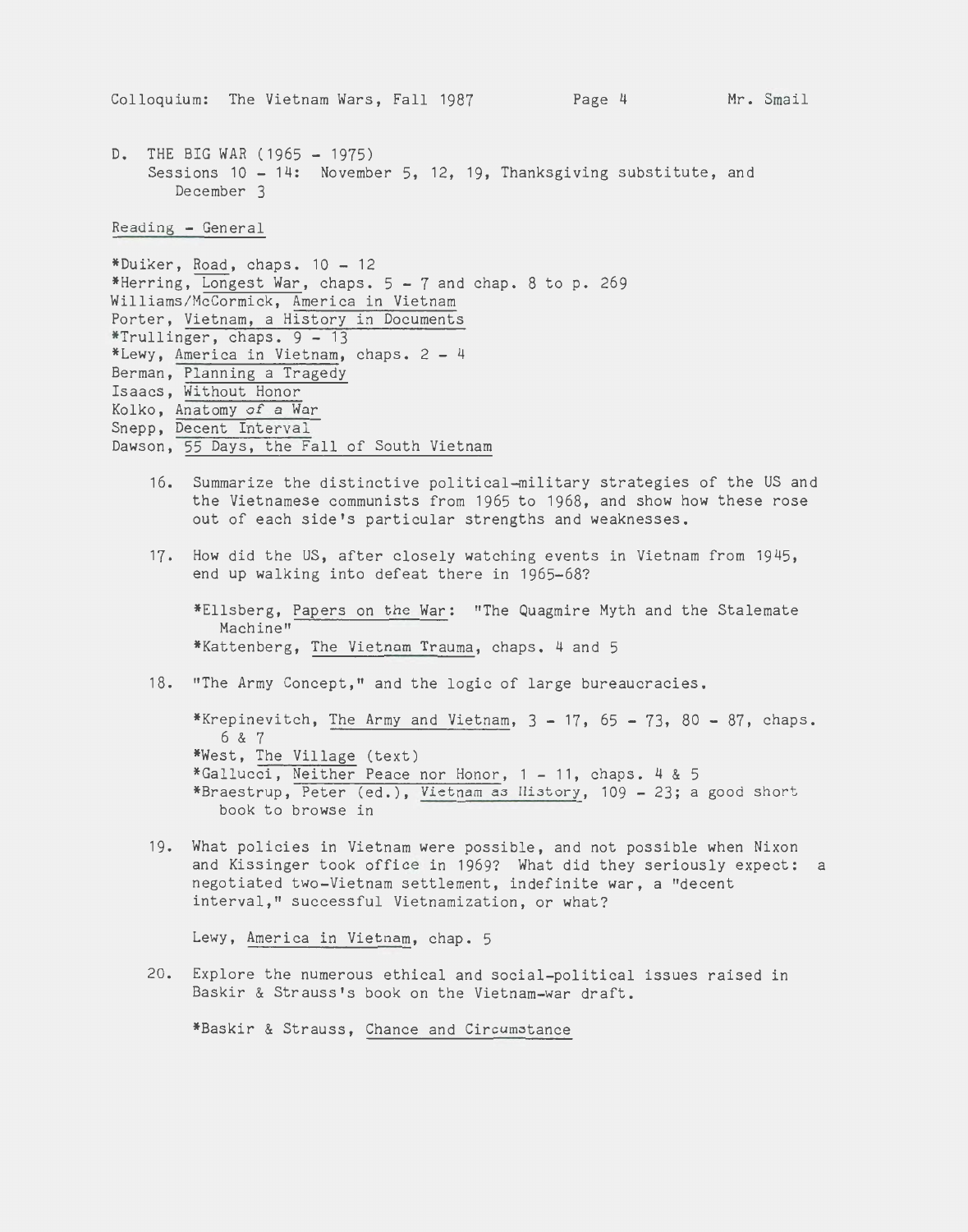D. THE BIG WAR (1965 - 1975) Sessions 10 - 14: November 5, 12, 19, Thanksgiving substitute, and December 3

Reading - General

```
*Duiker, Road, chaps. 10 - 12 
*Herring, Longest War, chaps. 5-7 and chap. 8 to p. 269
Williams/McCormick, America in Vietnam 
Porter, Vietnam, a History in Documents 
*Trullinger, chaps. 9 - 13 
*Lewy, America in Vietnam, chaps. 2 - 4Berman, Planning a Tragedy 
Isaacs, Without Honor 
Kolko, Anatomy of a War 
Snepp, Decent Interval 
Dawson, 55 Days, the Fall of South Vietnam
```
- 16. Summarize the distinctive political-military strategies of the US and the Vietnamese communists from 1965 to 1968, and show how these rose out of each side's particular strengths and weaknesses.
- 17. How did the US, after closely watching events in Vietnam from 1945, end up walking into defeat there in 1965-68?

\*Ellsberg, Papers on the War: "The Quagmire Myth and the Stalemate Machine" \*Kattenberg, The Vietnam Trauma, chaps. 4 and 5

18. "The Army Concept," and the logic of large bureaucracies.

\*Krepinevitch, The Army and Vietnam,  $3 - 17$ ,  $65 - 73$ ,  $80 - 87$ , chaps. 6 & 7 \*West, The Village (text) \*Gallucci, Neither Peace nor Honor, 1 - 11, chaps. 4 & 5 \*Braestrup, Peter (ed.), Vietnam as History, 109 - 23; a good short book to browse in

19. What policies in Vietnam were possible, and not possible when Nixon and Kissinger took office in 1969? What did they seriously expect: a negotiated two-Vietnam settlement, indefinite war, a "decent interval," successful Vietnamization, or what?

Lewy, America in Vietnam, chap. 5

20. Explore the numerous ethical and social-political issues raised in Baskir & Strauss's book on the Vietnam-war draft.

\*Baskir & Strauss, Chance and Circumstance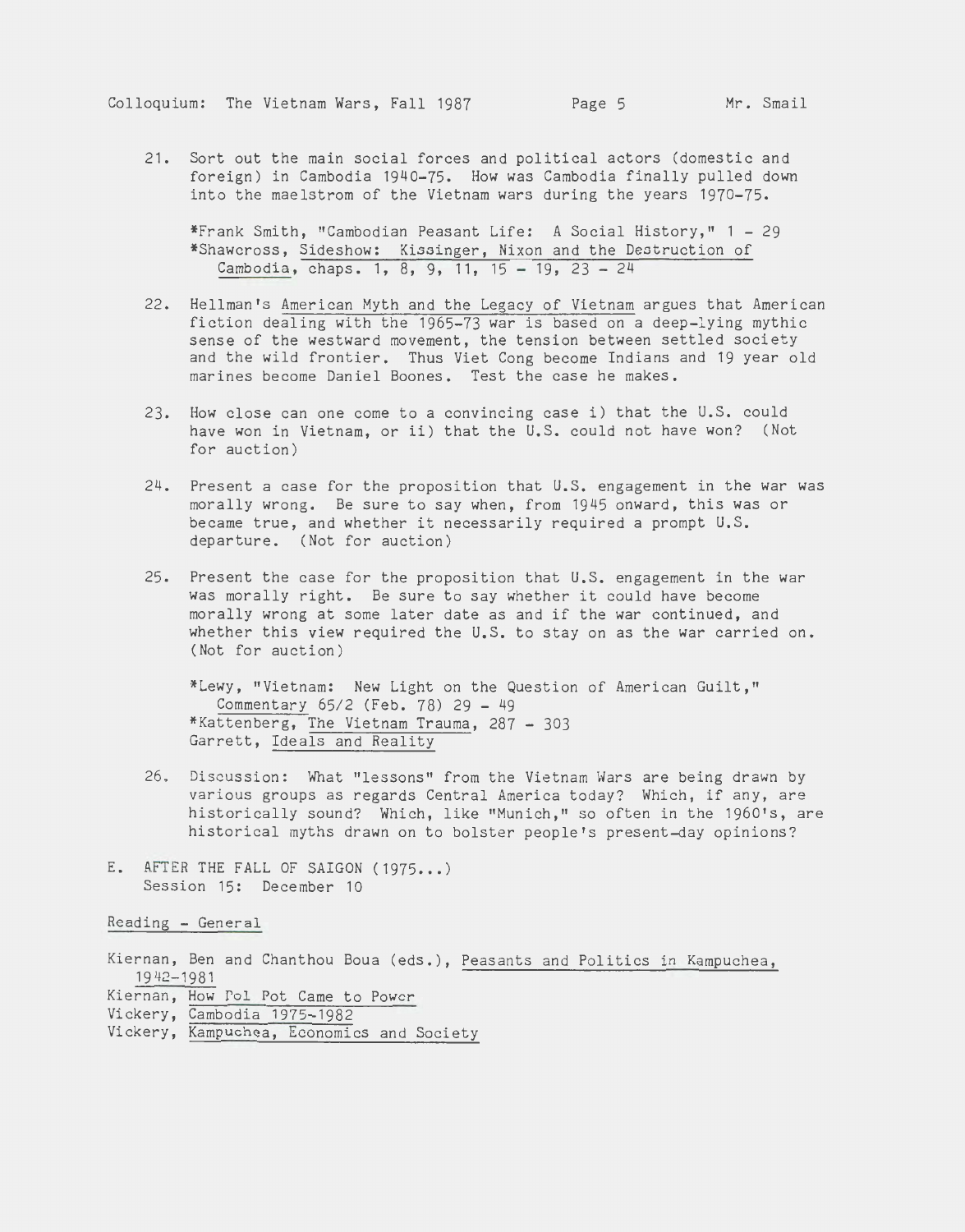21. Sort out the main social forces and political actors (domestic and foreign) in Cambodia 1940-75. How was Cambodia finally pulled down into the maelstrom of the Vietnam wars during the years 1970-75.

\*Frank Smith, "Cambodian Peasant Life: A Social History," 1 - 29 \*Shawcross, Sideshow: Kissinger, Nixon and the Destruction of Cambodia, chaps. 1, 8, 9, 11, 15 - 19, 23 - 24

- 22. Hellman's American Myth and the Legacy of Vietnam argues that American fiction dealing with the 1965-73 war is based on a deep-lying mythic sense of the westward movement, the tension between settled society and the wild frontier. Thus Viet Cong become Indians and 19 year old marines become Daniel Boones. Test the case he makes.
- 23. How close can one come to a convincing case i) that the U.S. could have won in Vietnam, or ii) that the U.S. could not have won? (Not for auction)
- 24. Present a case for the proposition that U.S. engagement in the war was morally wrong. Be sure to say when, from 1945 onward, this was or became true, and whether it necessarily required a prompt U.S. departure. (Not for auction)
- 25. Present the case for the proposition that U.S. engagement in the war was morally right. Be sure to say whether it could have become morally wrong at some later date as and if the war continued, and whether this view required the U.S. to stay on as the war carried on. (Not for auction)

\*Lewy, "Vietnam: New Light on the Question of American Guilt," Commentary 65/2 (Feb. 78) 29 - 49 \*Kattenberg, The Vietnam Trauma, 287 - 303 Garrett, Ideals and Reality

- 26. Discussion: What "lessons" from the Vietnam Wars are being drawn by various groups as regards Central America today? Which, if any, are historically sound? Which, like "Munich," so often in the 1960's, are historical myths drawn on to bolster people's present-day opinions?
- E. AFTER THE FALL OF SAIGON (1975...) Session 15: December 10

Reading - General

Kiernan, Ben and Chanthou Boua (eds.), Peasants and Politics in Kampuchea, 1942-1981 Kiernan, How Pol Pot Came to Power Vickery, Cambodia 1975-1982 Vickery, Kampuchea, Economics and Society